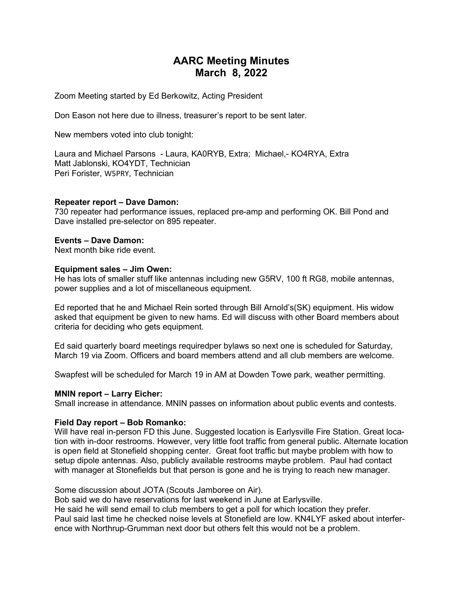### AARC Meeting Minutes March 8, 2022

Zoom Meeting started by Ed Berkowitz, Acting President

Don Eason not here due to illness, treasurer's report to be sent later.

New members voted into club tonight:

Laura and Michael Parsons - Laura, KA0RYB, Extra; Michael,- KO4RYA, Extra Matt Jablonski, KO4YDT, Technician Peri Forister, W5PRY, Technician

#### Repeater report – Dave Damon:

730 repeater had performance issues, replaced pre-amp and performing OK. Bill Pond and Dave installed pre-selector on 895 repeater.

### Events – Dave Damon:

Next month bike ride event.

#### Equipment sales – Jim Owen:

He has lots of smaller stuff like antennas including new G5RV, 100 ft RG8, mobile antennas, power supplies and a lot of miscellaneous equipment.

Ed reported that he and Michael Rein sorted through Bill Arnold's(SK) equipment. His widow asked that equipment be given to new hams. Ed will discuss with other Board members about criteria for deciding who gets equipment.

Ed said quarterly board meetings requiredper bylaws so next one is scheduled for Saturday, March 19 via Zoom. Officers and board members attend and all club members are welcome.

Swapfest will be scheduled for March 19 in AM at Dowden Towe park, weather permitting.

### MNIN report – Larry Eicher:

Small increase in attendance. MNIN passes on information about public events and contests.

### Field Day report – Bob Romanko:

Will have real in-person FD this June. Suggested location is Earlysville Fire Station. Great location with in-door restrooms. However, very little foot traffic from general public. Alternate location is open field at Stonefield shopping center. Great foot traffic but maybe problem with how to setup dipole antennas. Also, publicly available restrooms maybe problem. Paul had contact with manager at Stonefields but that person is gone and he is trying to reach new manager.

Some discussion about JOTA (Scouts Jamboree on Air).

Bob said we do have reservations for last weekend in June at Earlysville.

He said he will send email to club members to get a poll for which location they prefer. Paul said last time he checked noise levels at Stonefield are low. KN4LYF asked about interference with Northrup-Grumman next door but others felt this would not be a problem.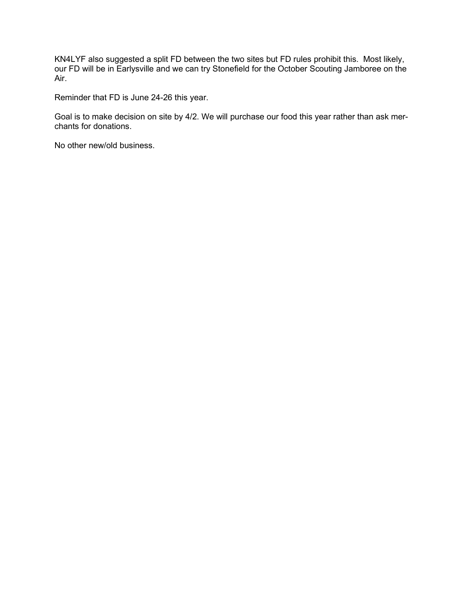KN4LYF also suggested a split FD between the two sites but FD rules prohibit this. Most likely, our FD will be in Earlysville and we can try Stonefield for the October Scouting Jamboree on the Air.

Reminder that FD is June 24-26 this year.

Goal is to make decision on site by 4/2. We will purchase our food this year rather than ask merchants for donations.

No other new/old business.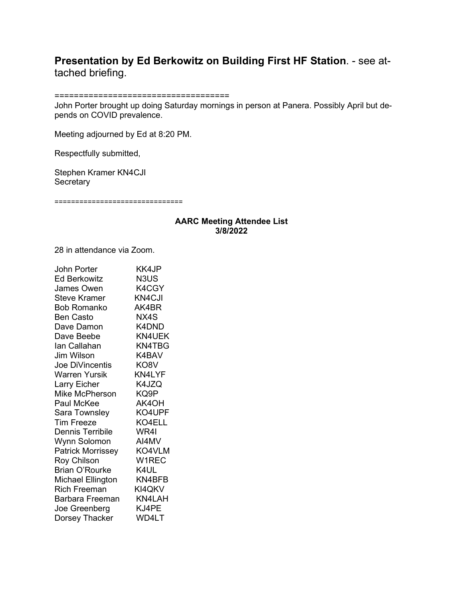### Presentation by Ed Berkowitz on Building First HF Station. - see attached briefing.

#### ====================================

John Porter brought up doing Saturday mornings in person at Panera. Possibly April but depends on COVID prevalence.

Meeting adjourned by Ed at 8:20 PM.

Respectfully submitted,

Stephen Kramer KN4CJI **Secretary** 

===============================

#### AARC Meeting Attendee List 3/8/2022

28 in attendance via Zoom.

| John Porter              | KK4JP         |
|--------------------------|---------------|
| Ed Berkowitz             | N3US          |
| James Owen               | K4CGY         |
| Steve Kramer             | <b>KN4CJI</b> |
| <b>Bob Romanko</b>       | AK4BR         |
| Ben Casto                | NX4S          |
| Dave Damon               | K4DND         |
| Dave Beebe               | <b>KN4UEK</b> |
| Ian Callahan             | <b>KN4TBG</b> |
| Jim Wilson               | K4BAV         |
| Joe DiVincentis          | KO8V          |
| Warren Yursik            | KN4LYF        |
| Larry Eicher             | K4JZQ         |
| Mike McPherson           | KQ9P          |
| Paul McKee               | AK4OH         |
| Sara Townsley            | KO4UPF        |
| <b>Tim Freeze</b>        | KO4ELL        |
| <b>Dennis Terribile</b>  | WR4I          |
| Wynn Solomon             | AI4MV         |
| <b>Patrick Morrissey</b> | KO4VLM        |
| Roy Chilson              | W1REC         |
| <b>Brian O'Rourke</b>    | K4UL          |
| Michael Ellington        | KN4BFB        |
| <b>Rich Freeman</b>      | KI4QKV        |
| Barbara Freeman          | KN4LAH        |
| Joe Greenberg            | KJ4PE         |
| Dorsey Thacker           | WD4LT         |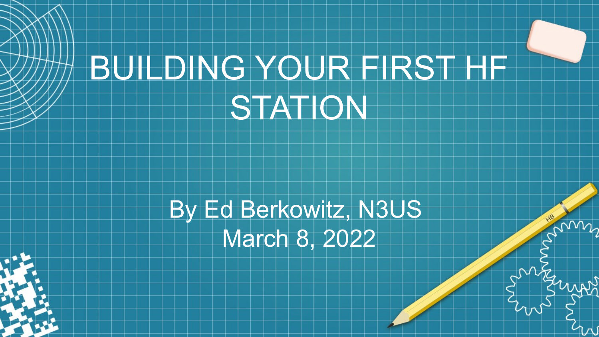# BUILDING YOUR FIRST HF STATION

By Ed Berkowitz, N3US March 8, 2022

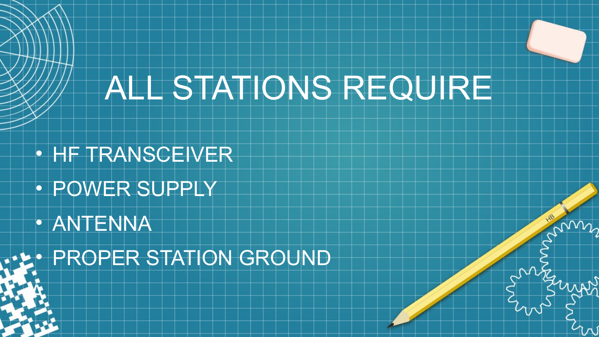# ALL STATIONS REQUIRE

- **HF TRANSCEIVER**
- POWER SUPPLY

ANTENNA

A

PROPER STATION GROUND

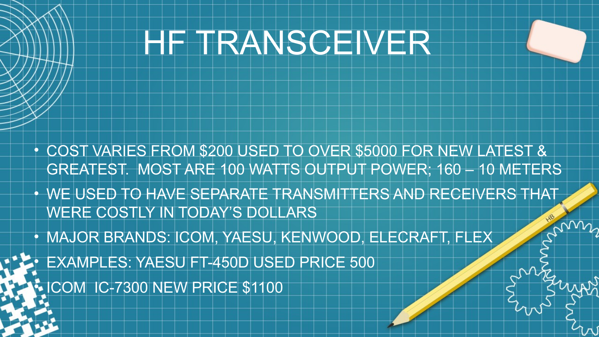### HF TRANSCEIVER

- COST VARIES FROM \$200 USED TO OVER \$5000 FOR NEW LATEST & GREATEST. MOST ARE 100 WATTS OUTPUT POWER; 160 – 10 METERS
- WE USED TO HAVE SEPARATE TRANSMITTERS AND RECEIVERS THAT WERE COSTLY IN TODAY'S DOLLARS
- MAJOR BRANDS: ICOM, YAESU, KENWOOD, ELECRAFT, FLEX
- EXAMPLES: YAESU FT-450D USED PRICE 500

 $\sim$  ICOM IC-7300 NEW PRICE \$1100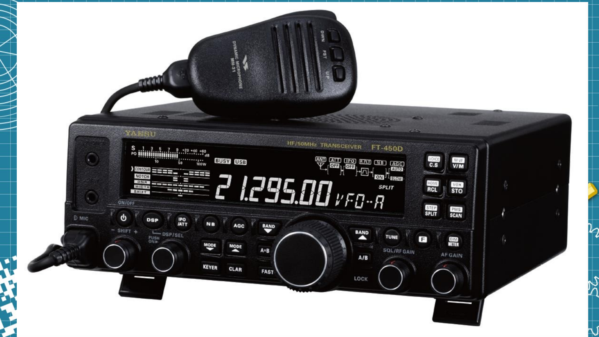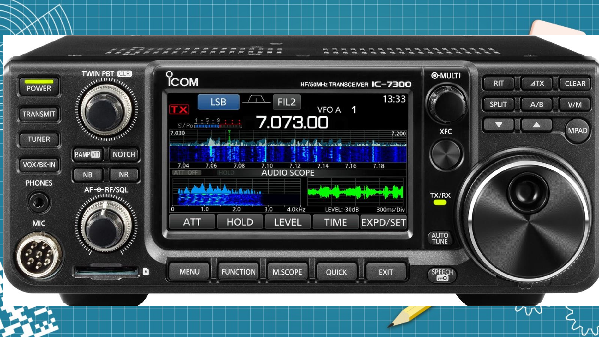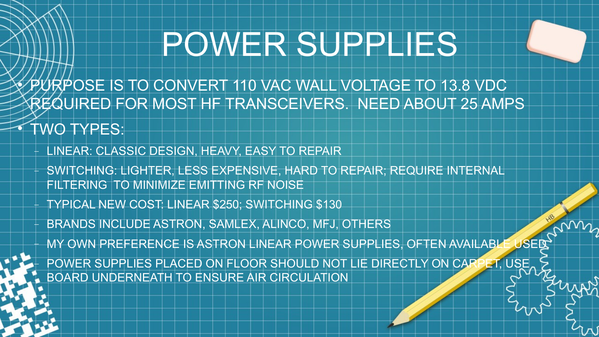## POWER SUPPLIES

 PURPOSE IS TO CONVERT 110 VAC WALL VOLTAGE TO 13.8 VDC REQUIRED FOR MOST HF TRANSCEIVERS. NEED ABOUT 25 AMPS

**TWO TYPES:** 

- LINEAR: CLASSIC DESIGN, HEAVY, EASY TO REPAIR
- SWITCHING: LIGHTER, LESS EXPENSIVE, HARD TO REPAIR; REQUIRE INTERNAL FILTERING TO MINIMIZE EMITTING RF NOISE
- TYPICAL NEW COST: LINEAR \$250; SWITCHING \$130
- BRANDS INCLUDE ASTRON, SAMLEX, ALINCO, MFJ, OTHERS
- MY OWN PREFERENCE IS ASTRON LINEAR POWER SUPPLIES, OFTEN AVAILABLE USED

m

 POWER SUPPLIES PLACED ON FLOOR SHOULD NOT LIE DIRECTLY ON CARPET, USE BOARD UNDERNEATH TO ENSURE AIR CIRCULATION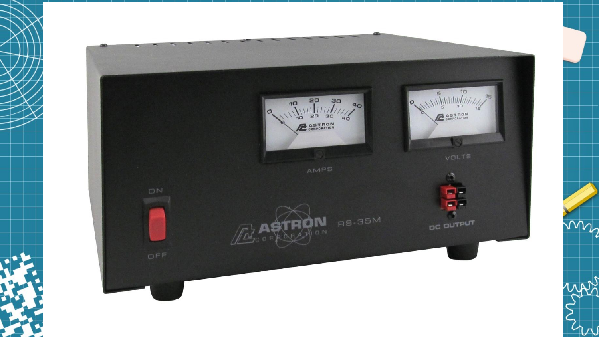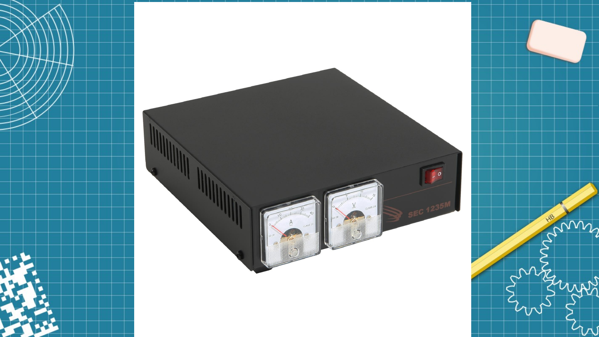



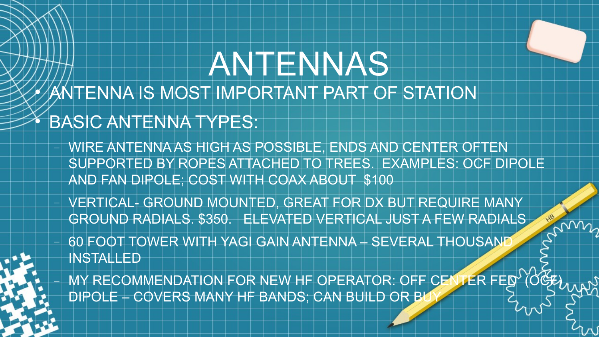### ANTENNAS ANTENNA IS MOST IMPORTANT PART OF STATION

### BASIC ANTENNA TYPES:

- WIRE ANTENNA AS HIGH AS POSSIBLE, ENDS AND CENTER OFTEN SUPPORTED BY ROPES ATTACHED TO TREES. EXAMPLES: OCF DIPOLE AND FAN DIPOLE; COST WITH COAX ABOUT \$100
- VERTICAL- GROUND MOUNTED, GREAT FOR DX BUT REQUIRE MANY GROUND RADIALS. \$350. ELEVATED VERTICAL JUST A FEW RADIALS

m

 60 FOOT TOWER WITH YAGI GAIN ANTENNA – SEVERAL THOUSAND INSTALLED

MY RECOMMENDATION FOR NEW HF OPERATOR: OFF CENTER FED<sup>U</sup> DIPOLE – COVERS MANY HF BANDS; CAN BUILD OR BU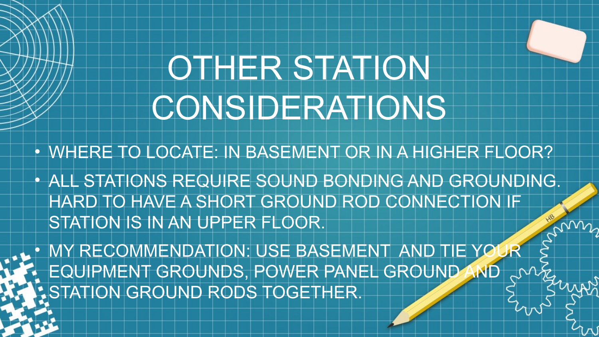# OTHER STATION CONSIDERATIONS

- WHERE TO LOCATE: IN BASEMENT OR IN A HIGHER FLOOR?
- ALL STATIONS REQUIRE SOUND BONDING AND GROUNDING. HARD TO HAVE A SHORT GROUND ROD CONNECTION IF STATION IS IN AN UPPER FLOOR.

 MY RECOMMENDATION: USE BASEMENT AND TIE YOUR EQUIPMENT GROUNDS, POWER PANEL GROUND AND STATION GROUND RODS TOGETHER.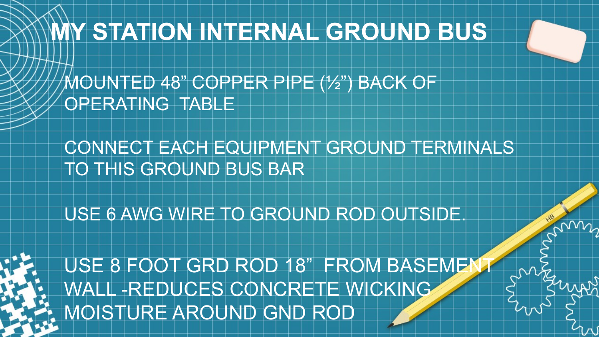### **MY STATION INTERNAL GROUND BUS**

MOUNTED 48" COPPER PIPE (½") BACK OF OPERATING TABLE

CONNECT EACH EQUIPMENT GROUND TERMINALS TO THIS GROUND BUS BAR

USE 6 AWG WIRE TO GROUND ROD OUTSIDE.

USE 8 FOOT GRD ROD 18" FROM BASEMENT WALL -REDUCES CONCRETE WICKING MOISTURE AROUND GND ROD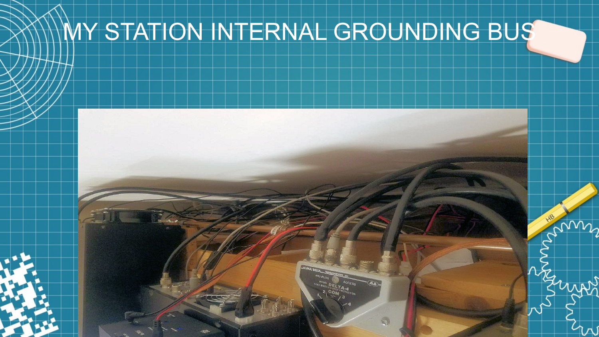## MY STATION INTERNAL GROUNDING BUS

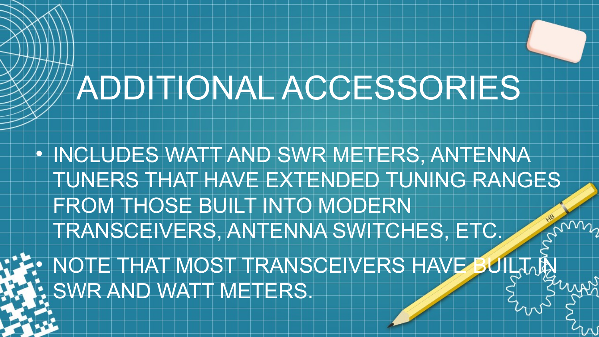# ADDITIONAL ACCESSORIES

 INCLUDES WATT AND SWR METERS, ANTENNA TUNERS THAT HAVE EXTENDED TUNING RANGES FROM THOSE BUILT INTO MODERN TRANSCEIVERS, ANTENNA SWITCHES, ETC.

NOTE THAT MOST TRANSCEIVERS HAVE BUILT IN **SWR AND WATT METERS.**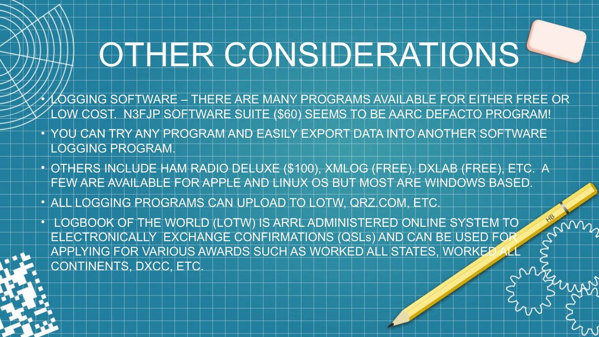# OTHER CONSIDERATIONS

- LOGGING SOFTWARE THERE ARE MANY PROGRAMS AVAILABLE FOR EITHER FREE OR LOW COST. N3FJP SOFTWARE SUITE (\$60) SEEMS TO BE AARC DEFACTO PROGRAM!
- YOU CAN TRY ANY PROGRAM AND EASILY EXPORT DATA INTO ANOTHER SOFTWARE LOGGING PROGRAM.
- OTHERS INCLUDE HAM RADIO DELUXE (\$100), XMLOG (FREE), DXLAB (FREE), ETC. A FEW ARE AVAILABLE FOR APPLE AND LINUX OS BUT MOST ARE WINDOWS BASED.
- ALL LOGGING PROGRAMS CAN UPLOAD TO LOTW, QRZ.COM, ETC.
- LOGBOOK OF THE WORLD (LOTW) IS ARRL ADMINISTERED ONLINE SYSTEM TO ELECTRONICALLY EXCHANGE CONFIRMATIONS (QSLs) AND CAN BE USED FOR APPLYING FOR VARIOUS AWARDS SUCH AS WORKED ALL STATES, WORKED ALL CONTINENTS, DXCC, ETC.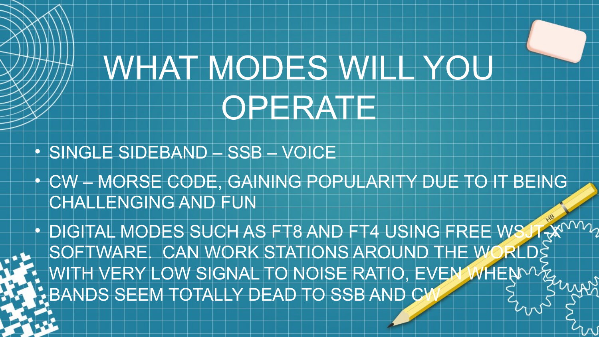# WHAT MODES WILL YOU OPERATE

- SINGLE SIDEBAND SSB VOICE
- CW MORSE CODE, GAINING POPULARITY DUE TO IT BEING CHALLENGING AND FUN
- DIGITAL MODES SUCH AS FT8 AND FT4 USING FREE WSJ SOFTWARE. CAN WORK STATIONS AROUND THE WORLD WITH VERY LOW SIGNAL TO NOISE RATIO, EVEN WHEN  $\Lambda$ BANDS SEEM TOTALLY DEAD TO SSB AND CW